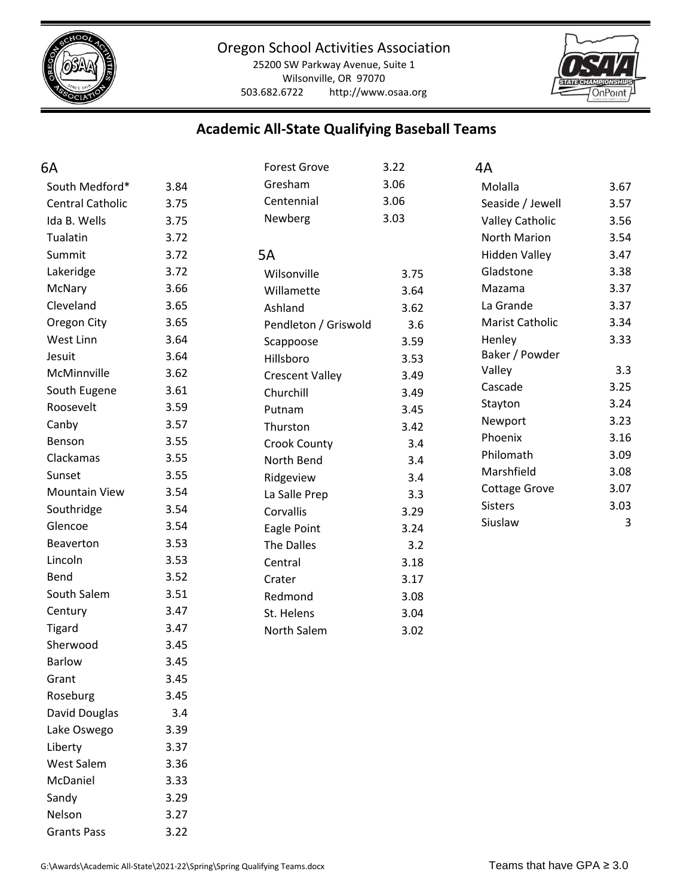

25200 SW Parkway Avenue, Suite 1 Wilsonville, OR 97070 503.682.6722 http://www.osaa.org



# **Academic All-State Qualifying Baseball Teams**

| 6A                      |      | <b>Forest Grove</b>    | 3.22 | 4A                     |      |
|-------------------------|------|------------------------|------|------------------------|------|
| South Medford*          | 3.84 | Gresham                | 3.06 | Molalla                | 3.67 |
| <b>Central Catholic</b> | 3.75 | Centennial             | 3.06 | Seaside / Jewell       | 3.57 |
| Ida B. Wells            | 3.75 | Newberg                | 3.03 | <b>Valley Catholic</b> | 3.56 |
| Tualatin                | 3.72 |                        |      | North Marion           | 3.54 |
| Summit                  | 3.72 | 5A                     |      | <b>Hidden Valley</b>   | 3.47 |
| Lakeridge               | 3.72 | Wilsonville            | 3.75 | Gladstone              | 3.38 |
| McNary                  | 3.66 | Willamette             | 3.64 | Mazama                 | 3.37 |
| Cleveland               | 3.65 | Ashland                | 3.62 | La Grande              | 3.37 |
| Oregon City             | 3.65 | Pendleton / Griswold   | 3.6  | Marist Catholic        | 3.34 |
| West Linn               | 3.64 | Scappoose              | 3.59 | Henley                 | 3.33 |
| Jesuit                  | 3.64 | Hillsboro              | 3.53 | Baker / Powder         |      |
| McMinnville             | 3.62 | <b>Crescent Valley</b> | 3.49 | Valley                 | 3.3  |
| South Eugene            | 3.61 | Churchill              | 3.49 | Cascade                | 3.25 |
| Roosevelt               | 3.59 | Putnam                 | 3.45 | Stayton                | 3.24 |
| Canby                   | 3.57 | Thurston               | 3.42 | Newport                | 3.23 |
| Benson                  | 3.55 | <b>Crook County</b>    | 3.4  | Phoenix                | 3.16 |
| Clackamas               | 3.55 | North Bend             | 3.4  | Philomath              | 3.09 |
| Sunset                  | 3.55 | Ridgeview              | 3.4  | Marshfield             | 3.08 |
| <b>Mountain View</b>    | 3.54 | La Salle Prep          | 3.3  | Cottage Grove          | 3.07 |
| Southridge              | 3.54 | Corvallis              | 3.29 | <b>Sisters</b>         | 3.03 |
| Glencoe                 | 3.54 | Eagle Point            | 3.24 | Siuslaw                | 3    |
| Beaverton               | 3.53 | The Dalles             | 3.2  |                        |      |
| Lincoln                 | 3.53 | Central                | 3.18 |                        |      |
| Bend                    | 3.52 | Crater                 | 3.17 |                        |      |
| South Salem             | 3.51 | Redmond                | 3.08 |                        |      |
| Century                 | 3.47 | St. Helens             | 3.04 |                        |      |
| <b>Tigard</b>           | 3.47 | North Salem            | 3.02 |                        |      |
| Sherwood                | 3.45 |                        |      |                        |      |
| <b>Barlow</b>           | 3.45 |                        |      |                        |      |
| Grant                   | 3.45 |                        |      |                        |      |
| Roseburg                | 3.45 |                        |      |                        |      |
| David Douglas           | 3.4  |                        |      |                        |      |
| Lake Oswego             | 3.39 |                        |      |                        |      |
| Liberty                 | 3.37 |                        |      |                        |      |
| West Salem              | 3.36 |                        |      |                        |      |
| McDaniel                | 3.33 |                        |      |                        |      |
| Sandy                   | 3.29 |                        |      |                        |      |
| Nelson                  | 3.27 |                        |      |                        |      |
| <b>Grants Pass</b>      | 3.22 |                        |      |                        |      |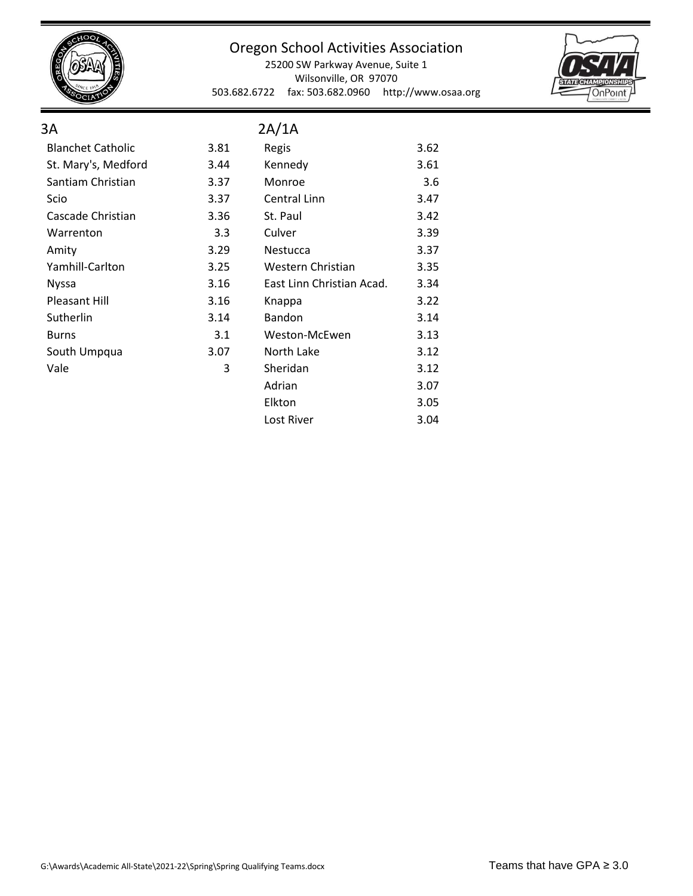

25200 SW Parkway Avenue, Suite 1 Wilsonville, OR 97070 503.682.6722 fax: 503.682.0960 http://www.osaa.org

Lost River 3.04



| 3A                       |      | 2A/1A                     |      |
|--------------------------|------|---------------------------|------|
| <b>Blanchet Catholic</b> | 3.81 | Regis                     | 3.62 |
| St. Mary's, Medford      | 3.44 | Kennedy                   | 3.61 |
| Santiam Christian        | 3.37 | Monroe                    | 3.6  |
| Scio                     | 3.37 | Central Linn              | 3.47 |
| Cascade Christian        | 3.36 | St. Paul                  | 3.42 |
| Warrenton                | 3.3  | Culver                    | 3.39 |
| Amity                    | 3.29 | <b>Nestucca</b>           | 3.37 |
| Yamhill-Carlton          | 3.25 | Western Christian         | 3.35 |
| <b>Nyssa</b>             | 3.16 | East Linn Christian Acad. | 3.34 |
| <b>Pleasant Hill</b>     | 3.16 | Knappa                    | 3.22 |
| Sutherlin                | 3.14 | Bandon                    | 3.14 |
| <b>Burns</b>             | 3.1  | Weston-McEwen             | 3.13 |
| South Umpqua             | 3.07 | North Lake                | 3.12 |
| Vale                     | 3    | Sheridan                  | 3.12 |
|                          |      | Adrian                    | 3.07 |
|                          |      | Elkton                    | 3.05 |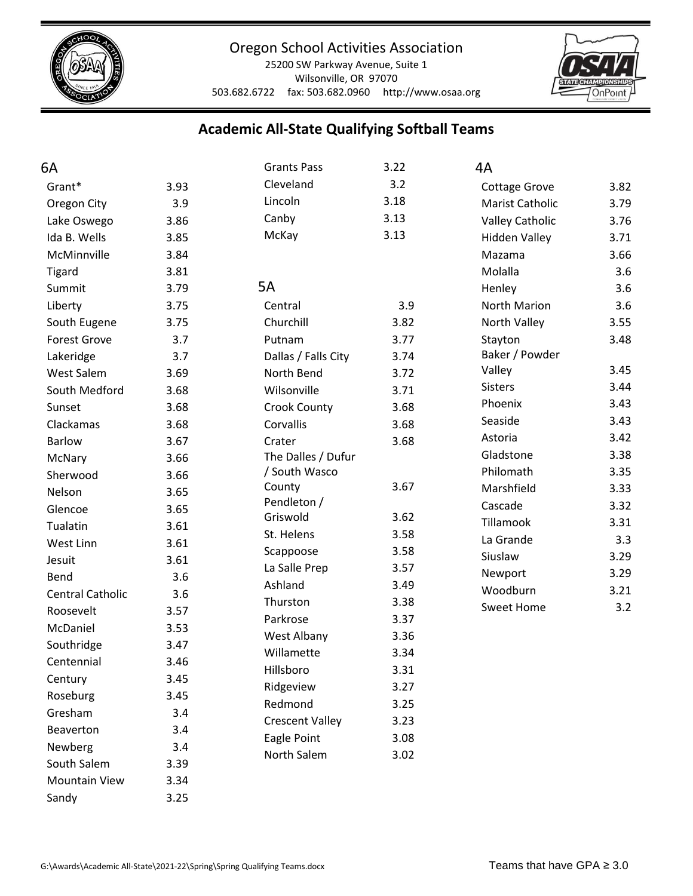

25200 SW Parkway Avenue, Suite 1 Wilsonville, OR 97070 503.682.6722 fax: 503.682.0960 http://www.osaa.org



# **Academic All-State Qualifying Softball Teams**

| 6A                      |      | <b>Grants Pass</b>     | 3.22 | 4A                     |      |
|-------------------------|------|------------------------|------|------------------------|------|
| Grant*                  | 3.93 | Cleveland              | 3.2  | <b>Cottage Grove</b>   | 3.82 |
| Oregon City             | 3.9  | Lincoln                | 3.18 | <b>Marist Catholic</b> | 3.79 |
| Lake Oswego             | 3.86 | Canby                  | 3.13 | <b>Valley Catholic</b> | 3.76 |
| Ida B. Wells            | 3.85 | McKay                  | 3.13 | <b>Hidden Valley</b>   | 3.71 |
| McMinnville             | 3.84 |                        |      | Mazama                 | 3.66 |
| <b>Tigard</b>           | 3.81 |                        |      | Molalla                | 3.6  |
| Summit                  | 3.79 | 5A                     |      | Henley                 | 3.6  |
| Liberty                 | 3.75 | Central                | 3.9  | North Marion           | 3.6  |
| South Eugene            | 3.75 | Churchill              | 3.82 | North Valley           | 3.55 |
| <b>Forest Grove</b>     | 3.7  | Putnam                 | 3.77 | Stayton                | 3.48 |
| Lakeridge               | 3.7  | Dallas / Falls City    | 3.74 | Baker / Powder         |      |
| <b>West Salem</b>       | 3.69 | North Bend             | 3.72 | Valley                 | 3.45 |
| South Medford           | 3.68 | Wilsonville            | 3.71 | <b>Sisters</b>         | 3.44 |
| Sunset                  | 3.68 | <b>Crook County</b>    | 3.68 | Phoenix                | 3.43 |
| Clackamas               | 3.68 | Corvallis              | 3.68 | Seaside                | 3.43 |
| <b>Barlow</b>           | 3.67 | Crater                 | 3.68 | Astoria                | 3.42 |
| McNary                  | 3.66 | The Dalles / Dufur     |      | Gladstone              | 3.38 |
| Sherwood                | 3.66 | / South Wasco          |      | Philomath              | 3.35 |
| Nelson                  | 3.65 | County                 | 3.67 | Marshfield             | 3.33 |
| Glencoe                 | 3.65 | Pendleton /            |      | Cascade                | 3.32 |
| Tualatin                | 3.61 | Griswold               | 3.62 | Tillamook              | 3.31 |
| West Linn               | 3.61 | St. Helens             | 3.58 | La Grande              | 3.3  |
| Jesuit                  | 3.61 | Scappoose              | 3.58 | Siuslaw                | 3.29 |
| Bend                    | 3.6  | La Salle Prep          | 3.57 | Newport                | 3.29 |
| <b>Central Catholic</b> | 3.6  | Ashland                | 3.49 | Woodburn               | 3.21 |
| Roosevelt               | 3.57 | Thurston               | 3.38 | <b>Sweet Home</b>      | 3.2  |
| McDaniel                | 3.53 | Parkrose               | 3.37 |                        |      |
| Southridge              | 3.47 | West Albany            | 3.36 |                        |      |
| Centennial              | 3.46 | Willamette             | 3.34 |                        |      |
| Century                 | 3.45 | Hillsboro              | 3.31 |                        |      |
| Roseburg                | 3.45 | Ridgeview              | 3.27 |                        |      |
| Gresham                 | 3.4  | Redmond                | 3.25 |                        |      |
| Beaverton               | 3.4  | <b>Crescent Valley</b> | 3.23 |                        |      |
| Newberg                 | 3.4  | Eagle Point            | 3.08 |                        |      |
| South Salem             | 3.39 | North Salem            | 3.02 |                        |      |
| <b>Mountain View</b>    | 3.34 |                        |      |                        |      |
| Sandy                   | 3.25 |                        |      |                        |      |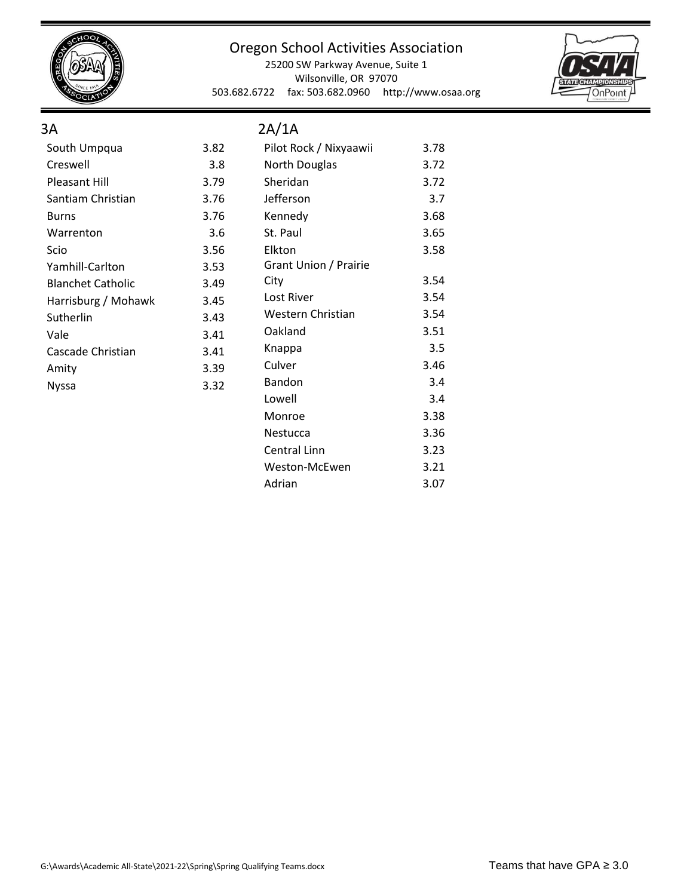

#### Oregon School Activities Association

25200 SW Parkway Avenue, Suite 1 Wilsonville, OR 97070 503.682.6722 fax: 503.682.0960 http://www.osaa.org



#### 3A

## 2A/1A

| South Umpqua             | 3.82 | Pilot Rock / Nixyaawii | 3.78 |
|--------------------------|------|------------------------|------|
| Creswell                 | 3.8  | <b>North Douglas</b>   | 3.72 |
| <b>Pleasant Hill</b>     | 3.79 | Sheridan               | 3.72 |
| Santiam Christian        | 3.76 | Jefferson              | 3.7  |
| <b>Burns</b>             | 3.76 | Kennedy                | 3.68 |
| Warrenton                | 3.6  | St. Paul               | 3.65 |
| Scio                     | 3.56 | Elkton                 | 3.58 |
| Yamhill-Carlton          | 3.53 | Grant Union / Prairie  |      |
| <b>Blanchet Catholic</b> | 3.49 | City                   | 3.54 |
| Harrisburg / Mohawk      | 3.45 | Lost River             | 3.54 |
| Sutherlin                | 3.43 | Western Christian      | 3.54 |
| Vale                     | 3.41 | Oakland                | 3.51 |
| Cascade Christian        | 3.41 | Knappa                 | 3.5  |
| Amity                    | 3.39 | Culver                 | 3.46 |
| <b>Nyssa</b>             | 3.32 | Bandon                 | 3.4  |
|                          |      | Lowell                 | 3.4  |
|                          |      | Monroe                 | 3.38 |
|                          |      | Nestucca               | 3.36 |
|                          |      | Central Linn           | 3.23 |
|                          |      | Weston-McEwen          | 3.21 |
|                          |      | Adrian                 | 3.07 |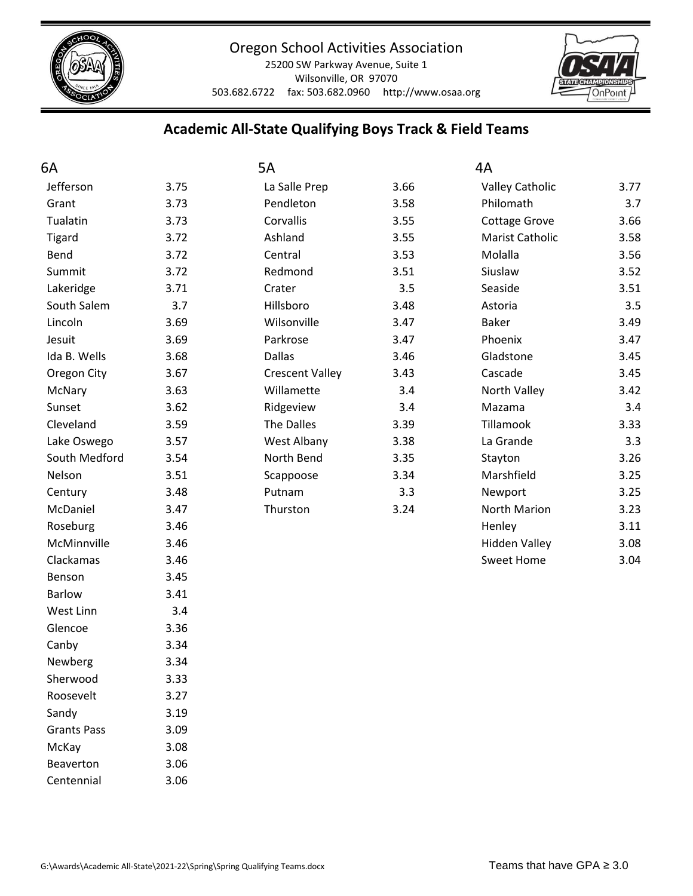

25200 SW Parkway Avenue, Suite 1 Wilsonville, OR 97070 503.682.6722 fax: 503.682.0960 http://www.osaa.org



# **Academic All-State Qualifying Boys Track & Field Teams**

| 6A                 |      | 5A                     |      | 4A                     |      |
|--------------------|------|------------------------|------|------------------------|------|
| Jefferson          | 3.75 | La Salle Prep          | 3.66 | <b>Valley Catholic</b> | 3.77 |
| Grant              | 3.73 | Pendleton              | 3.58 | Philomath              | 3.7  |
| Tualatin           | 3.73 | Corvallis              | 3.55 | Cottage Grove          | 3.66 |
| <b>Tigard</b>      | 3.72 | Ashland                | 3.55 | Marist Catholic        | 3.58 |
| Bend               | 3.72 | Central                | 3.53 | Molalla                | 3.56 |
| Summit             | 3.72 | Redmond                | 3.51 | Siuslaw                | 3.52 |
| Lakeridge          | 3.71 | Crater                 | 3.5  | Seaside                | 3.51 |
| South Salem        | 3.7  | Hillsboro              | 3.48 | Astoria                | 3.5  |
| Lincoln            | 3.69 | Wilsonville            | 3.47 | <b>Baker</b>           | 3.49 |
| Jesuit             | 3.69 | Parkrose               | 3.47 | Phoenix                | 3.47 |
| Ida B. Wells       | 3.68 | <b>Dallas</b>          | 3.46 | Gladstone              | 3.45 |
| Oregon City        | 3.67 | <b>Crescent Valley</b> | 3.43 | Cascade                | 3.45 |
| McNary             | 3.63 | Willamette             | 3.4  | North Valley           | 3.42 |
| Sunset             | 3.62 | Ridgeview              | 3.4  | Mazama                 | 3.4  |
| Cleveland          | 3.59 | The Dalles             | 3.39 | Tillamook              | 3.33 |
| Lake Oswego        | 3.57 | West Albany            | 3.38 | La Grande              | 3.3  |
| South Medford      | 3.54 | North Bend             | 3.35 | Stayton                | 3.26 |
| Nelson             | 3.51 | Scappoose              | 3.34 | Marshfield             | 3.25 |
| Century            | 3.48 | Putnam                 | 3.3  | Newport                | 3.25 |
| McDaniel           | 3.47 | Thurston               | 3.24 | North Marion           | 3.23 |
| Roseburg           | 3.46 |                        |      | Henley                 | 3.11 |
| McMinnville        | 3.46 |                        |      | <b>Hidden Valley</b>   | 3.08 |
| Clackamas          | 3.46 |                        |      | <b>Sweet Home</b>      | 3.04 |
| Benson             | 3.45 |                        |      |                        |      |
| <b>Barlow</b>      | 3.41 |                        |      |                        |      |
| West Linn          | 3.4  |                        |      |                        |      |
| Glencoe            | 3.36 |                        |      |                        |      |
| Canby              | 3.34 |                        |      |                        |      |
| Newberg            | 3.34 |                        |      |                        |      |
| Sherwood           | 3.33 |                        |      |                        |      |
| Roosevelt          | 3.27 |                        |      |                        |      |
| Sandy              | 3.19 |                        |      |                        |      |
| <b>Grants Pass</b> | 3.09 |                        |      |                        |      |
| McKay              | 3.08 |                        |      |                        |      |
| Beaverton          | 3.06 |                        |      |                        |      |

Centennial 3.06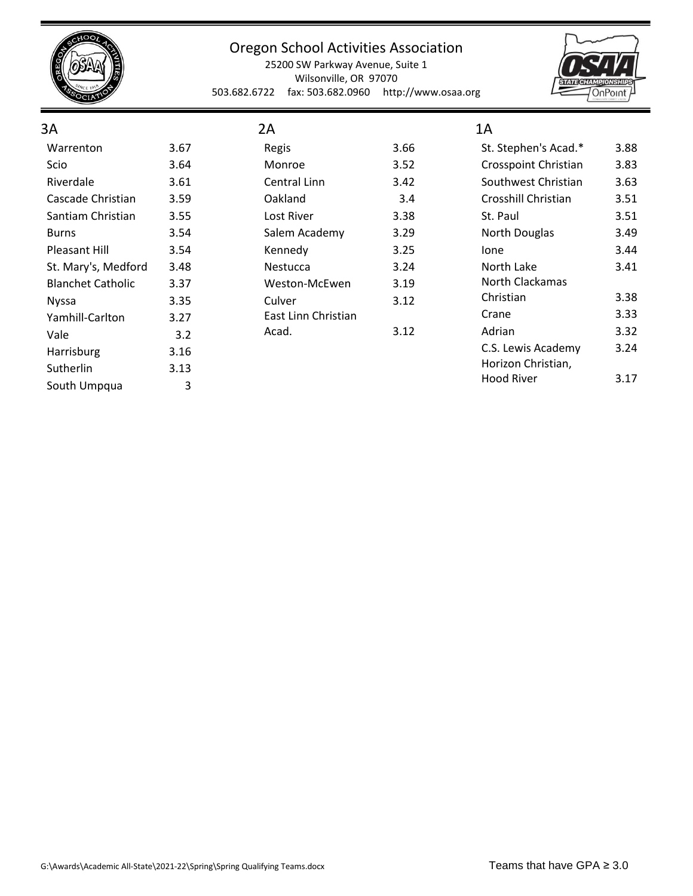

25200 SW Parkway Avenue, Suite 1 Wilsonville, OR 97070 503.682.6722 fax: 503.682.0960 http://www.osaa.org



#### 3A Warrenton 3.67 Scio 3.64 Riverdale 3.61 Cascade Christian 3.59 Santiam Christian 3.55 Burns 3.54 Pleasant Hill 3.54 St. Mary's, Medford 3.48 Blanchet Catholic 3.37 Nyssa 3.35 Yamhill-Carlton 3.27 Vale 3.2 Harrisburg 3.16 Sutherlin 3.13 South Umpqua 3 2A Regis 3.66 Monroe 3.52 Central Linn 3.42 Oakland 3.4 Lost River 3.38 Salem Academy 3.29 Kennedy 3.25 Nestucca 3.24 Weston-McEwen 3.19 Culver 3.12 East Linn Christian Acad. 3.12 1A St. Stephen's Acad.\* 3.88 Crosspoint Christian 3.83 Southwest Christian 3.63 Crosshill Christian 3.51 St. Paul 3.51 North Douglas 3.49 Ione 3.44 North Lake 3.41 North Clackamas Christian 3.38 Crane 3.33 Adrian 3.32 C.S. Lewis Academy 3.24 Horizon Christian, Hood River 3.17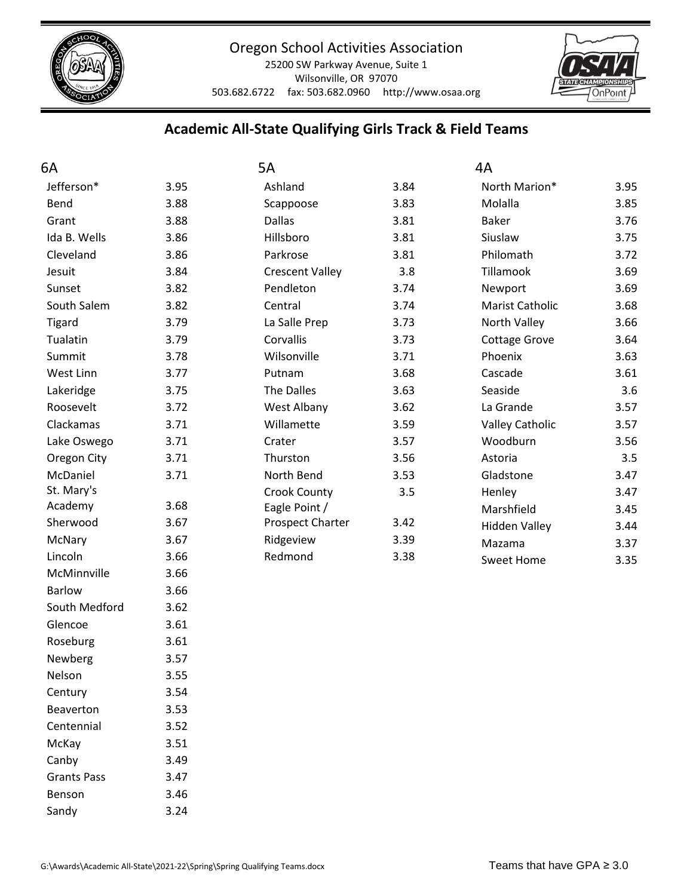

25200 SW Parkway Avenue, Suite 1 Wilsonville, OR 97070 503.682.6722 fax: 503.682.0960 http://www.osaa.org



# **Academic All-State Qualifying Girls Track & Field Teams**

| 6A                 |      | 5A                      |      | 4A                     |      |
|--------------------|------|-------------------------|------|------------------------|------|
| Jefferson*         | 3.95 | Ashland                 | 3.84 | North Marion*          | 3.95 |
| Bend               | 3.88 | Scappoose               | 3.83 | Molalla                | 3.85 |
| Grant              | 3.88 | <b>Dallas</b>           | 3.81 | <b>Baker</b>           | 3.76 |
| Ida B. Wells       | 3.86 | Hillsboro               | 3.81 | Siuslaw                | 3.75 |
| Cleveland          | 3.86 | Parkrose                | 3.81 | Philomath              | 3.72 |
| Jesuit             | 3.84 | <b>Crescent Valley</b>  | 3.8  | Tillamook              | 3.69 |
| Sunset             | 3.82 | Pendleton               | 3.74 | Newport                | 3.69 |
| South Salem        | 3.82 | Central                 | 3.74 | Marist Catholic        | 3.68 |
| <b>Tigard</b>      | 3.79 | La Salle Prep           | 3.73 | North Valley           | 3.66 |
| Tualatin           | 3.79 | Corvallis               | 3.73 | <b>Cottage Grove</b>   | 3.64 |
| Summit             | 3.78 | Wilsonville             | 3.71 | Phoenix                | 3.63 |
| West Linn          | 3.77 | Putnam                  | 3.68 | Cascade                | 3.61 |
| Lakeridge          | 3.75 | <b>The Dalles</b>       | 3.63 | Seaside                | 3.6  |
| Roosevelt          | 3.72 | West Albany             | 3.62 | La Grande              | 3.57 |
| Clackamas          | 3.71 | Willamette              | 3.59 | <b>Valley Catholic</b> | 3.57 |
| Lake Oswego        | 3.71 | Crater                  | 3.57 | Woodburn               | 3.56 |
| Oregon City        | 3.71 | Thurston                | 3.56 | Astoria                | 3.5  |
| McDaniel           | 3.71 | North Bend              | 3.53 | Gladstone              | 3.47 |
| St. Mary's         |      | <b>Crook County</b>     | 3.5  | Henley                 | 3.47 |
| Academy            | 3.68 | Eagle Point /           |      | Marshfield             | 3.45 |
| Sherwood           | 3.67 | <b>Prospect Charter</b> | 3.42 | <b>Hidden Valley</b>   | 3.44 |
| McNary             | 3.67 | Ridgeview               | 3.39 | Mazama                 | 3.37 |
| Lincoln            | 3.66 | Redmond                 | 3.38 | <b>Sweet Home</b>      | 3.35 |
| McMinnville        | 3.66 |                         |      |                        |      |
| <b>Barlow</b>      | 3.66 |                         |      |                        |      |
| South Medford      | 3.62 |                         |      |                        |      |
| Glencoe            | 3.61 |                         |      |                        |      |
| Roseburg           | 3.61 |                         |      |                        |      |
| Newberg            | 3.57 |                         |      |                        |      |
| Nelson             | 3.55 |                         |      |                        |      |
| Century            | 3.54 |                         |      |                        |      |
| Beaverton          | 3.53 |                         |      |                        |      |
| Centennial         | 3.52 |                         |      |                        |      |
| McKay              | 3.51 |                         |      |                        |      |
| Canby              | 3.49 |                         |      |                        |      |
| <b>Grants Pass</b> | 3.47 |                         |      |                        |      |

Benson 3.46 Sandy 3.24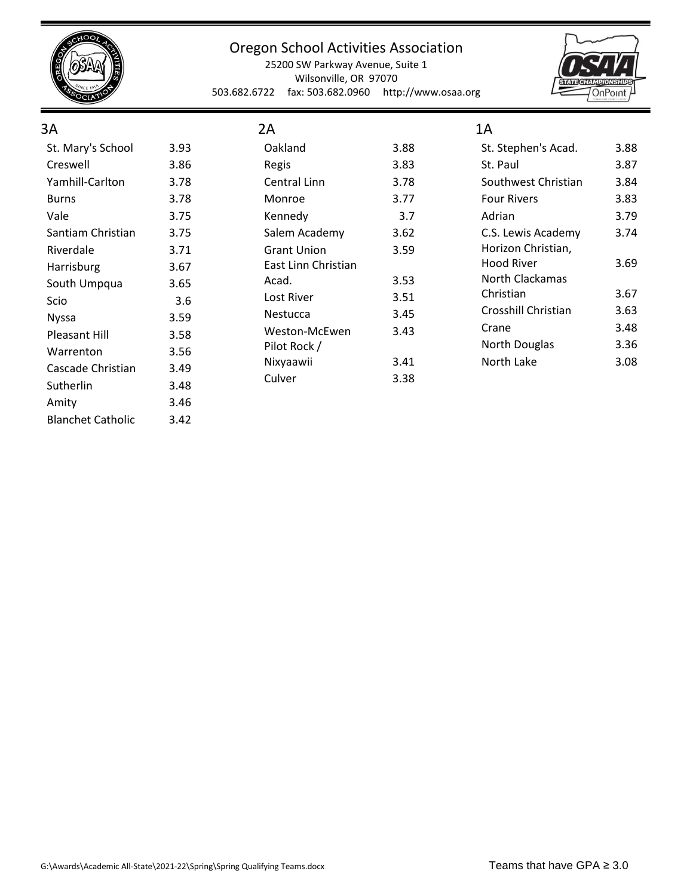

25200 SW Parkway Avenue, Suite 1 Wilsonville, OR 97070 503.682.6722 fax: 503.682.0960 http://www.osaa.org



## 3A

| St. Mary's School | 3.93 |
|-------------------|------|
| Creswell          | 3.86 |
| Yamhill-Carlton   | 3.78 |
| Burns             | 3.78 |
| Vale              | 3.75 |
| Santiam Christian | 3.75 |
| Riverdale         | 3.71 |
| Harrisburg        | 3.67 |
| South Umpqua      | 3.65 |
| Scio              | 3.6  |
| Nyssa             | 3.59 |
| Pleasant Hill     | 3.58 |
| Warrenton         | 3.56 |
| Cascade Christian | 3.49 |
| Sutherlin         | 3.48 |
| Amity             | 3.46 |
|                   |      |

| 2Α                  |      |
|---------------------|------|
| Oakland             | 3.88 |
| Regis               | 3.83 |
| Central Linn        | 3.78 |
| Monroe              | 3.77 |
| Kennedy             | 3.7  |
| Salem Academy       | 3.62 |
| <b>Grant Union</b>  | 3.59 |
| East Linn Christian |      |
| Acad.               | 3.53 |
| Lost River          | 3.51 |
| Nestucca            | 3.45 |
| Weston-McEwen       | 3.43 |
| Pilot Rock /        |      |
| Nixyaawii           | 3.41 |
| Culver              | 3.38 |

| 1Α                  |      |
|---------------------|------|
| St. Stephen's Acad. | 3.88 |
| St. Paul            | 3.87 |
| Southwest Christian | 3.84 |
| <b>Four Rivers</b>  | 3.83 |
| Adrian              | 3.79 |
| C.S. Lewis Academy  | 3.74 |
| Horizon Christian,  |      |
| Hood River          | 3.69 |
| North Clackamas     |      |
| Christian           | 3.67 |
| Crosshill Christian | 3.63 |
| Crane               | 3.48 |
| North Douglas       | 3.36 |
| North Lake          | 3.08 |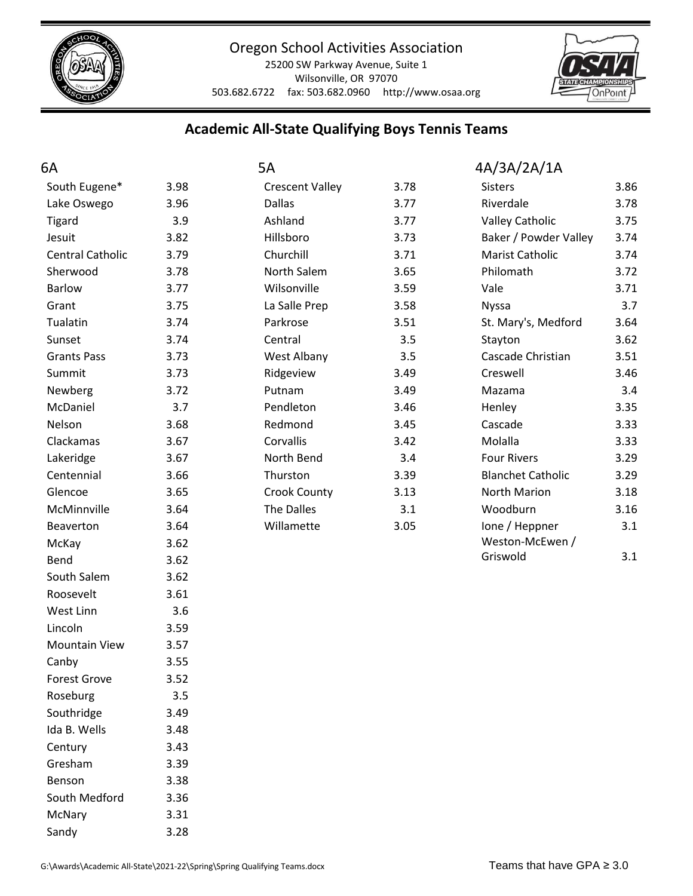

25200 SW Parkway Avenue, Suite 1 Wilsonville, OR 97070 503.682.6722 fax: 503.682.0960 http://www.osaa.org



## **Academic All-State Qualifying Boys Tennis Teams**

| 6A                      |      | 5A                     |      | 4A/3A/2A/1A              |      |
|-------------------------|------|------------------------|------|--------------------------|------|
| South Eugene*           | 3.98 | <b>Crescent Valley</b> | 3.78 | <b>Sisters</b>           | 3.86 |
| Lake Oswego             | 3.96 | <b>Dallas</b>          | 3.77 | Riverdale                | 3.78 |
| <b>Tigard</b>           | 3.9  | Ashland                | 3.77 | <b>Valley Catholic</b>   | 3.75 |
| Jesuit                  | 3.82 | Hillsboro              | 3.73 | Baker / Powder Valley    | 3.74 |
| <b>Central Catholic</b> | 3.79 | Churchill              | 3.71 | Marist Catholic          | 3.74 |
| Sherwood                | 3.78 | North Salem            | 3.65 | Philomath                | 3.72 |
| <b>Barlow</b>           | 3.77 | Wilsonville            | 3.59 | Vale                     | 3.71 |
| Grant                   | 3.75 | La Salle Prep          | 3.58 | <b>Nyssa</b>             | 3.7  |
| Tualatin                | 3.74 | Parkrose               | 3.51 | St. Mary's, Medford      | 3.64 |
| Sunset                  | 3.74 | Central                | 3.5  | Stayton                  | 3.62 |
| <b>Grants Pass</b>      | 3.73 | West Albany            | 3.5  | Cascade Christian        | 3.51 |
| Summit                  | 3.73 | Ridgeview              | 3.49 | Creswell                 | 3.46 |
| Newberg                 | 3.72 | Putnam                 | 3.49 | Mazama                   | 3.4  |
| McDaniel                | 3.7  | Pendleton              | 3.46 | Henley                   | 3.35 |
| Nelson                  | 3.68 | Redmond                | 3.45 | Cascade                  | 3.33 |
| Clackamas               | 3.67 | Corvallis              | 3.42 | Molalla                  | 3.33 |
| Lakeridge               | 3.67 | North Bend             | 3.4  | <b>Four Rivers</b>       | 3.29 |
| Centennial              | 3.66 | Thurston               | 3.39 | <b>Blanchet Catholic</b> | 3.29 |
| Glencoe                 | 3.65 | <b>Crook County</b>    | 3.13 | North Marion             | 3.18 |
| McMinnville             | 3.64 | The Dalles             | 3.1  | Woodburn                 | 3.16 |
| Beaverton               | 3.64 | Willamette             | 3.05 | lone / Heppner           | 3.1  |
| McKay                   | 3.62 |                        |      | Weston-McEwen /          |      |
| Bend                    | 3.62 |                        |      | Griswold                 | 3.1  |
| South Salem             | 3.62 |                        |      |                          |      |
| Roosevelt               | 3.61 |                        |      |                          |      |
| West Linn               | 3.6  |                        |      |                          |      |
| Lincoln                 | 3.59 |                        |      |                          |      |
| <b>Mountain View</b>    | 3.57 |                        |      |                          |      |
| Canby                   | 3.55 |                        |      |                          |      |
| <b>Forest Grove</b>     | 3.52 |                        |      |                          |      |
| Roseburg                | 3.5  |                        |      |                          |      |
| Southridge              | 3.49 |                        |      |                          |      |
| Ida B. Wells            | 3.48 |                        |      |                          |      |
| Century                 | 3.43 |                        |      |                          |      |
| Gresham                 | 3.39 |                        |      |                          |      |
| Benson                  | 3.38 |                        |      |                          |      |

South Medford 3.36 McNary 3.31 Sandy 3.28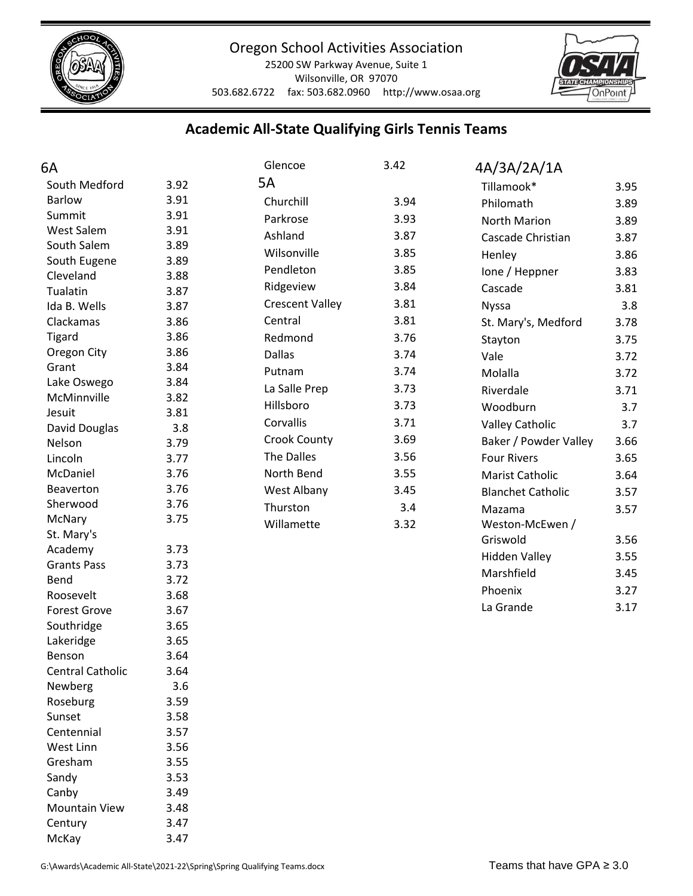

25200 SW Parkway Avenue, Suite 1 Wilsonville, OR 97070 503.682.6722 fax: 503.682.0960 http://www.osaa.org



# **Academic All-State Qualifying Girls Tennis Teams**

| 6A                            |      | Glencoe                | 3.42 | 4A/3A/2A/1A              |      |
|-------------------------------|------|------------------------|------|--------------------------|------|
| South Medford                 | 3.92 | 5A                     |      | Tillamook*               | 3.95 |
| <b>Barlow</b>                 | 3.91 | Churchill              | 3.94 | Philomath                | 3.89 |
| Summit                        | 3.91 | Parkrose               | 3.93 | North Marion             | 3.89 |
| West Salem                    | 3.91 | Ashland                | 3.87 | Cascade Christian        | 3.87 |
| South Salem                   | 3.89 | Wilsonville            | 3.85 |                          | 3.86 |
| South Eugene                  | 3.89 | Pendleton              | 3.85 | Henley                   |      |
| Cleveland                     | 3.88 |                        |      | lone / Heppner           | 3.83 |
| Tualatin                      | 3.87 | Ridgeview              | 3.84 | Cascade                  | 3.81 |
| Ida B. Wells                  | 3.87 | <b>Crescent Valley</b> | 3.81 | <b>Nyssa</b>             | 3.8  |
| Clackamas                     | 3.86 | Central                | 3.81 | St. Mary's, Medford      | 3.78 |
| <b>Tigard</b>                 | 3.86 | Redmond                | 3.76 | Stayton                  | 3.75 |
| Oregon City                   | 3.86 | <b>Dallas</b>          | 3.74 | Vale                     | 3.72 |
| Grant                         | 3.84 | Putnam                 | 3.74 | Molalla                  | 3.72 |
| Lake Oswego                   | 3.84 | La Salle Prep          | 3.73 | Riverdale                | 3.71 |
| McMinnville                   | 3.82 | Hillsboro              | 3.73 | Woodburn                 | 3.7  |
| Jesuit                        | 3.81 | Corvallis              | 3.71 | <b>Valley Catholic</b>   | 3.7  |
| David Douglas                 | 3.8  | <b>Crook County</b>    | 3.69 | Baker / Powder Valley    | 3.66 |
| Nelson                        | 3.79 | The Dalles             | 3.56 |                          |      |
| Lincoln                       | 3.77 |                        |      | <b>Four Rivers</b>       | 3.65 |
| McDaniel                      | 3.76 | North Bend             | 3.55 | Marist Catholic          | 3.64 |
| Beaverton                     | 3.76 | West Albany            | 3.45 | <b>Blanchet Catholic</b> | 3.57 |
| Sherwood                      | 3.76 | Thurston               | 3.4  | Mazama                   | 3.57 |
| McNary                        | 3.75 | Willamette             | 3.32 | Weston-McEwen /          |      |
| St. Mary's                    | 3.73 |                        |      | Griswold                 | 3.56 |
| Academy<br><b>Grants Pass</b> | 3.73 |                        |      | <b>Hidden Valley</b>     | 3.55 |
| Bend                          | 3.72 |                        |      | Marshfield               | 3.45 |
| Roosevelt                     | 3.68 |                        |      | Phoenix                  | 3.27 |
| <b>Forest Grove</b>           | 3.67 |                        |      | La Grande                | 3.17 |
| Southridge                    | 3.65 |                        |      |                          |      |
| Lakeridge                     | 3.65 |                        |      |                          |      |
| Benson                        | 3.64 |                        |      |                          |      |
| <b>Central Catholic</b>       | 3.64 |                        |      |                          |      |
| Newberg                       | 3.6  |                        |      |                          |      |
| Roseburg                      | 3.59 |                        |      |                          |      |
| Sunset                        | 3.58 |                        |      |                          |      |
| Centennial                    | 3.57 |                        |      |                          |      |
| West Linn                     | 3.56 |                        |      |                          |      |
| Gresham                       | 3.55 |                        |      |                          |      |
| Sandy                         | 3.53 |                        |      |                          |      |
| Canby                         | 3.49 |                        |      |                          |      |
| <b>Mountain View</b>          | 3.48 |                        |      |                          |      |
| Century                       | 3.47 |                        |      |                          |      |

McKay 3.47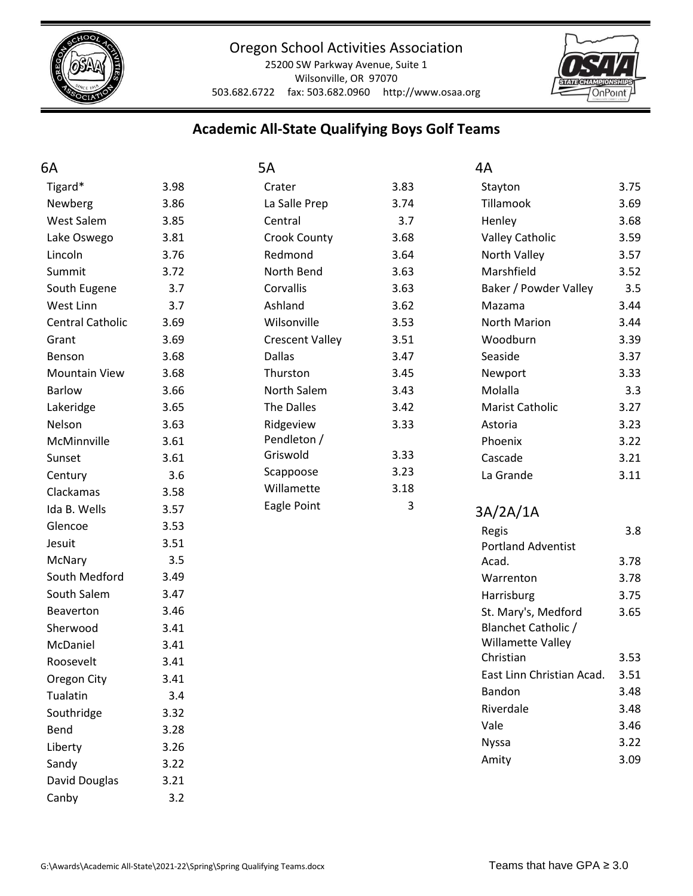

25200 SW Parkway Avenue, Suite 1 Wilsonville, OR 97070 503.682.6722 fax: 503.682.0960 http://www.osaa.org



# **Academic All-State Qualifying Boys Golf Teams**

| 6A                      |      | 5A                     |      | 4A                        |      |
|-------------------------|------|------------------------|------|---------------------------|------|
| Tigard*                 | 3.98 | Crater                 | 3.83 | Stayton                   | 3.75 |
| Newberg                 | 3.86 | La Salle Prep          | 3.74 | Tillamook                 | 3.69 |
| West Salem              | 3.85 | Central                | 3.7  | Henley                    | 3.68 |
| Lake Oswego             | 3.81 | <b>Crook County</b>    | 3.68 | <b>Valley Catholic</b>    | 3.59 |
| Lincoln                 | 3.76 | Redmond                | 3.64 | North Valley              | 3.57 |
| Summit                  | 3.72 | North Bend             | 3.63 | Marshfield                | 3.52 |
| South Eugene            | 3.7  | Corvallis              | 3.63 | Baker / Powder Valley     | 3.5  |
| West Linn               | 3.7  | Ashland                | 3.62 | Mazama                    | 3.44 |
| <b>Central Catholic</b> | 3.69 | Wilsonville            | 3.53 | North Marion              | 3.44 |
| Grant                   | 3.69 | <b>Crescent Valley</b> | 3.51 | Woodburn                  | 3.39 |
| Benson                  | 3.68 | <b>Dallas</b>          | 3.47 | Seaside                   | 3.37 |
| <b>Mountain View</b>    | 3.68 | Thurston               | 3.45 | Newport                   | 3.33 |
| <b>Barlow</b>           | 3.66 | North Salem            | 3.43 | Molalla                   | 3.3  |
| Lakeridge               | 3.65 | The Dalles             | 3.42 | Marist Catholic           | 3.27 |
| Nelson                  | 3.63 | Ridgeview              | 3.33 | Astoria                   | 3.23 |
| McMinnville             | 3.61 | Pendleton /            |      | Phoenix                   | 3.22 |
| Sunset                  | 3.61 | Griswold               | 3.33 | Cascade                   | 3.21 |
| Century                 | 3.6  | Scappoose              | 3.23 | La Grande                 | 3.11 |
| Clackamas               | 3.58 | Willamette             | 3.18 |                           |      |
| Ida B. Wells            | 3.57 | Eagle Point            | 3    | 3A/2A/1A                  |      |
| Glencoe                 | 3.53 |                        |      | Regis                     | 3.8  |
| Jesuit                  | 3.51 |                        |      | <b>Portland Adventist</b> |      |
| McNary                  | 3.5  |                        |      | Acad.                     | 3.78 |
| South Medford           | 3.49 |                        |      | Warrenton                 | 3.78 |
| South Salem             | 3.47 |                        |      | Harrisburg                | 3.75 |
| Beaverton               | 3.46 |                        |      | St. Mary's, Medford       | 3.65 |
| Sherwood                | 3.41 |                        |      | Blanchet Catholic /       |      |
| McDaniel                | 3.41 |                        |      | Willamette Valley         |      |
| Roosevelt               | 3.41 |                        |      | Christian                 | 3.53 |
| Oregon City             | 3.41 |                        |      | East Linn Christian Acad. | 3.51 |
| Tualatin                | 3.4  |                        |      | Bandon                    | 3.48 |
| Southridge              | 3.32 |                        |      | Riverdale                 | 3.48 |
| Bend                    | 3.28 |                        |      | Vale                      | 3.46 |
| Liberty                 | 3.26 |                        |      | <b>Nyssa</b>              | 3.22 |
| Sandy                   | 3.22 |                        |      | Amity                     | 3.09 |
| David Douglas           | 3.21 |                        |      |                           |      |
| Canby                   | 3.2  |                        |      |                           |      |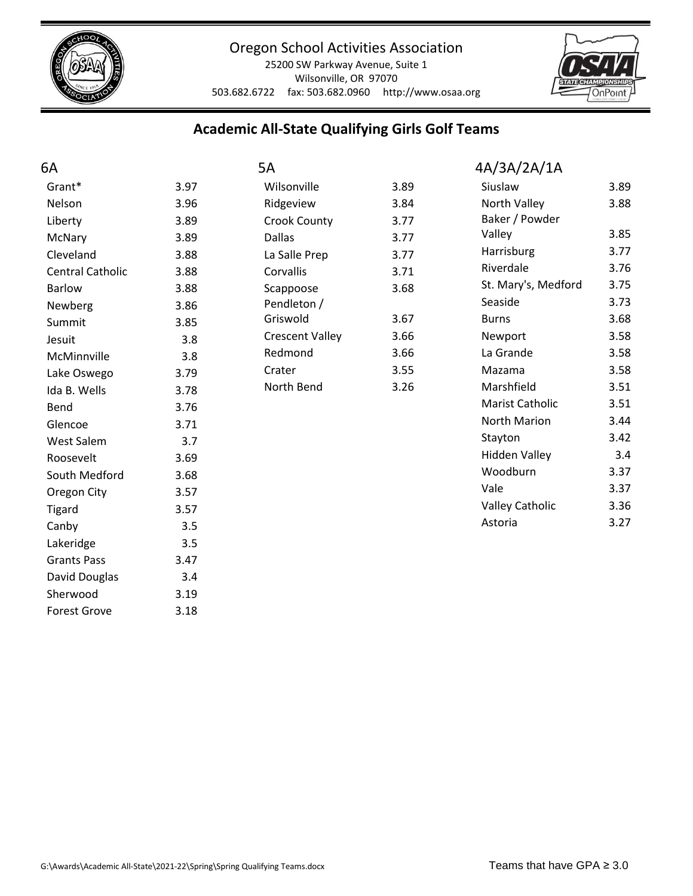

25200 SW Parkway Avenue, Suite 1 Wilsonville, OR 97070 503.682.6722 fax: 503.682.0960 http://www.osaa.org



# **Academic All-State Qualifying Girls Golf Teams**

| 6A                      |      | 5A                     |      | 4A/3A/2A/1A            |      |
|-------------------------|------|------------------------|------|------------------------|------|
| Grant*                  | 3.97 | Wilsonville            | 3.89 | Siuslaw                | 3.89 |
| Nelson                  | 3.96 | Ridgeview              | 3.84 | North Valley           | 3.88 |
| Liberty                 | 3.89 | <b>Crook County</b>    | 3.77 | Baker / Powder         |      |
| McNary                  | 3.89 | <b>Dallas</b>          | 3.77 | Valley                 | 3.85 |
| Cleveland               | 3.88 | La Salle Prep          | 3.77 | Harrisburg             | 3.77 |
| <b>Central Catholic</b> | 3.88 | Corvallis              | 3.71 | Riverdale              | 3.76 |
| <b>Barlow</b>           | 3.88 | Scappoose              | 3.68 | St. Mary's, Medford    | 3.75 |
| Newberg                 | 3.86 | Pendleton /            |      | Seaside                | 3.73 |
| Summit                  | 3.85 | Griswold               | 3.67 | <b>Burns</b>           | 3.68 |
| Jesuit                  | 3.8  | <b>Crescent Valley</b> | 3.66 | Newport                | 3.58 |
| McMinnville             | 3.8  | Redmond                | 3.66 | La Grande              | 3.58 |
| Lake Oswego             | 3.79 | Crater                 | 3.55 | Mazama                 | 3.58 |
| Ida B. Wells            | 3.78 | North Bend             | 3.26 | Marshfield             | 3.51 |
| Bend                    | 3.76 |                        |      | Marist Catholic        | 3.51 |
| Glencoe                 | 3.71 |                        |      | North Marion           | 3.44 |
| <b>West Salem</b>       | 3.7  |                        |      | Stayton                | 3.42 |
| Roosevelt               | 3.69 |                        |      | <b>Hidden Valley</b>   | 3.4  |
| South Medford           | 3.68 |                        |      | Woodburn               | 3.37 |
| Oregon City             | 3.57 |                        |      | Vale                   | 3.37 |
| <b>Tigard</b>           | 3.57 |                        |      | <b>Valley Catholic</b> | 3.36 |
| Canby                   | 3.5  |                        |      | Astoria                | 3.27 |
| Lakeridge               | 3.5  |                        |      |                        |      |
| <b>Grants Pass</b>      | 3.47 |                        |      |                        |      |
| David Douglas           | 3.4  |                        |      |                        |      |
| Sherwood                | 3.19 |                        |      |                        |      |
| <b>Forest Grove</b>     | 3.18 |                        |      |                        |      |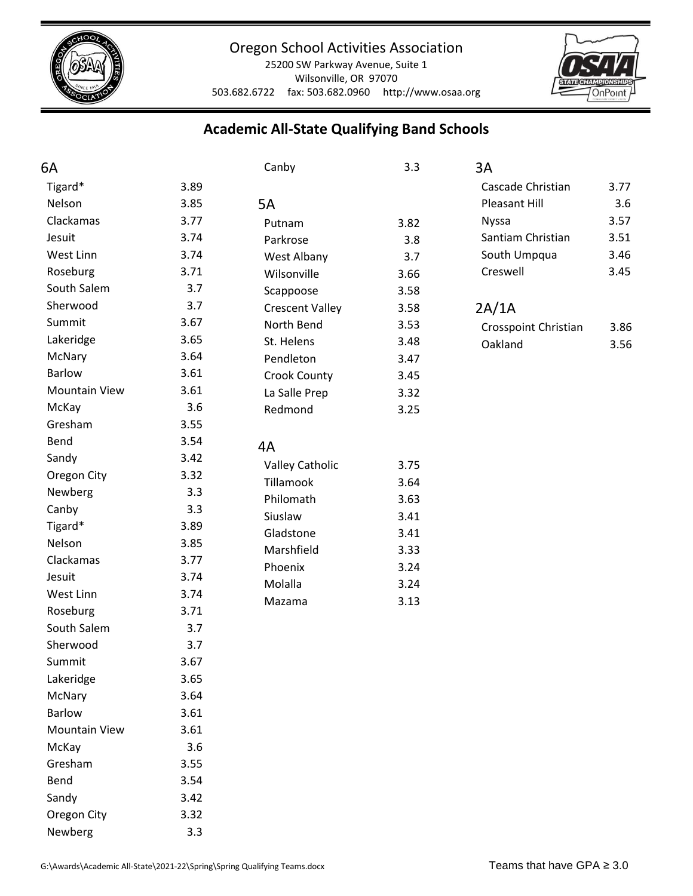

25200 SW Parkway Avenue, Suite 1 Wilsonville, OR 97070 503.682.6722 fax: 503.682.0960 http://www.osaa.org



# **Academic All-State Qualifying Band Schools**

| 6A                   |      | Canby                  | 3.3           | 3A                   |      |
|----------------------|------|------------------------|---------------|----------------------|------|
| Tigard*              | 3.89 |                        |               | Cascade Christian    | 3.77 |
| Nelson               | 3.85 | 5A                     | Pleasant Hill | 3.6                  |      |
| Clackamas            | 3.77 | Putnam                 | 3.82          | <b>Nyssa</b>         | 3.57 |
| Jesuit               | 3.74 | Parkrose               | 3.8           | Santiam Christian    | 3.51 |
| West Linn            | 3.74 | West Albany            | 3.7           | South Umpqua         | 3.46 |
| Roseburg             | 3.71 | Wilsonville            | 3.66          | Creswell             | 3.45 |
| South Salem          | 3.7  | Scappoose              | 3.58          |                      |      |
| Sherwood             | 3.7  | <b>Crescent Valley</b> | 3.58          | 2A/1A                |      |
| Summit               | 3.67 | North Bend             | 3.53          | Crosspoint Christian | 3.86 |
| Lakeridge            | 3.65 | St. Helens             | 3.48          | Oakland              | 3.56 |
| McNary               | 3.64 | Pendleton              | 3.47          |                      |      |
| <b>Barlow</b>        | 3.61 | <b>Crook County</b>    | 3.45          |                      |      |
| <b>Mountain View</b> | 3.61 | La Salle Prep          | 3.32          |                      |      |
| McKay                | 3.6  | Redmond                | 3.25          |                      |      |
| Gresham              | 3.55 |                        |               |                      |      |
| Bend                 | 3.54 | 4A                     |               |                      |      |
| Sandy                | 3.42 | <b>Valley Catholic</b> | 3.75          |                      |      |
| Oregon City          | 3.32 | <b>Tillamook</b>       | 3.64          |                      |      |
| Newberg              | 3.3  | Philomath              | 3.63          |                      |      |
| Canby                | 3.3  | Siuslaw                | 3.41          |                      |      |
| Tigard*              | 3.89 | Gladstone              | 3.41          |                      |      |
| Nelson               | 3.85 | Marshfield             | 3.33          |                      |      |
| Clackamas            | 3.77 | Phoenix                | 3.24          |                      |      |
| Jesuit               | 3.74 | Molalla                | 3.24          |                      |      |
| West Linn            | 3.74 | Mazama                 | 3.13          |                      |      |
| Roseburg             | 3.71 |                        |               |                      |      |
| South Salem          | 3.7  |                        |               |                      |      |
| Sherwood             | 3.7  |                        |               |                      |      |
| Summit               | 3.67 |                        |               |                      |      |
| Lakeridge            | 3.65 |                        |               |                      |      |
| McNary               | 3.64 |                        |               |                      |      |
| <b>Barlow</b>        | 3.61 |                        |               |                      |      |
| <b>Mountain View</b> | 3.61 |                        |               |                      |      |
| McKay                | 3.6  |                        |               |                      |      |
| Gresham              | 3.55 |                        |               |                      |      |
| Bend                 | 3.54 |                        |               |                      |      |
| Sandy                | 3.42 |                        |               |                      |      |
| Oregon City          | 3.32 |                        |               |                      |      |

Newberg 3.3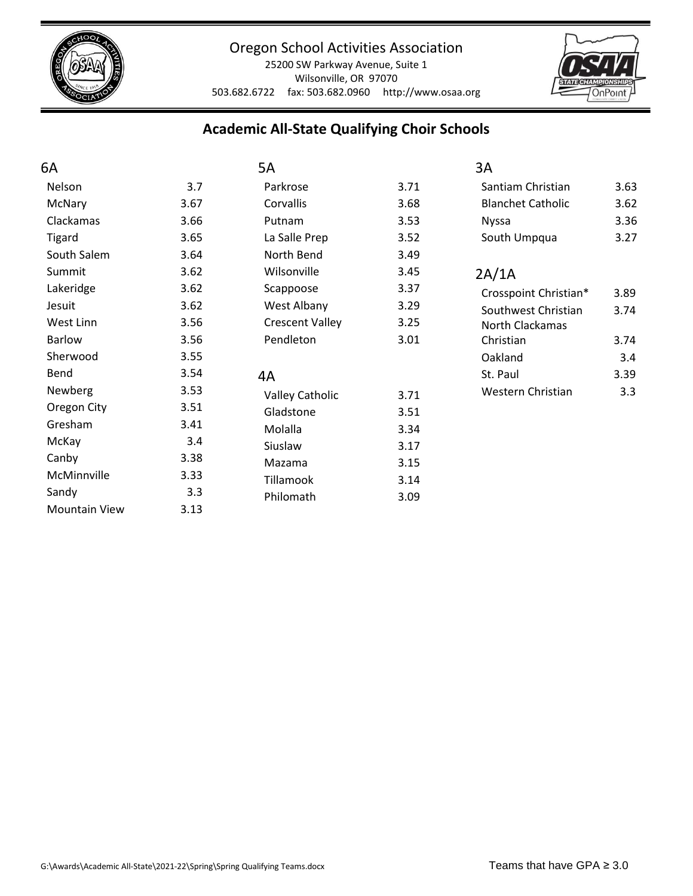

25200 SW Parkway Avenue, Suite 1 Wilsonville, OR 97070 503.682.6722 fax: 503.682.0960 http://www.osaa.org



 $3.63$  $3.62$ 3.36  $3.27$ 

## **Academic All-State Qualifying Choir Schools**

| 6A                   |      | 5A                     |      | 3A                       |      |
|----------------------|------|------------------------|------|--------------------------|------|
| Nelson               | 3.7  | Parkrose               | 3.71 | Santiam Christian        | 3.63 |
| McNary               | 3.67 | Corvallis              | 3.68 | <b>Blanchet Catholic</b> | 3.62 |
| Clackamas            | 3.66 | Putnam                 | 3.53 | <b>Nyssa</b>             | 3.36 |
| Tigard               | 3.65 | La Salle Prep          | 3.52 | South Umpqua             | 3.27 |
| South Salem          | 3.64 | North Bend             | 3.49 |                          |      |
| Summit               | 3.62 | Wilsonville            | 3.45 | 2A/1A                    |      |
| Lakeridge            | 3.62 | Scappoose              | 3.37 | Crosspoint Christian*    | 3.89 |
| Jesuit               | 3.62 | West Albany            | 3.29 | Southwest Christian      | 3.74 |
| West Linn            | 3.56 | <b>Crescent Valley</b> | 3.25 | North Clackamas          |      |
| <b>Barlow</b>        | 3.56 | Pendleton              | 3.01 | Christian                | 3.74 |
| Sherwood             | 3.55 |                        |      | Oakland                  | 3.4  |
| Bend                 | 3.54 | 4A                     |      | St. Paul                 | 3.39 |
| Newberg              | 3.53 | <b>Valley Catholic</b> | 3.71 | Western Christian        | 3.3  |
| Oregon City          | 3.51 | Gladstone              | 3.51 |                          |      |
| Gresham              | 3.41 | Molalla                | 3.34 |                          |      |
| McKay                | 3.4  | Siuslaw                | 3.17 |                          |      |
| Canby                | 3.38 | Mazama                 | 3.15 |                          |      |
| McMinnville          | 3.33 | Tillamook              | 3.14 |                          |      |
| Sandy                | 3.3  | Philomath              | 3.09 |                          |      |
| <b>Mountain View</b> | 3.13 |                        |      |                          |      |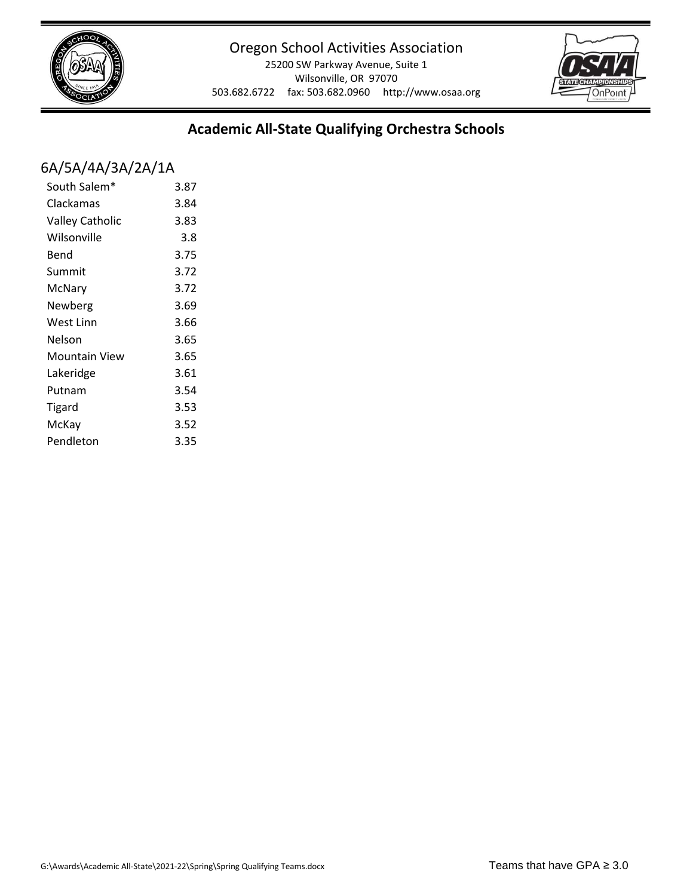

25200 SW Parkway Avenue, Suite 1 Wilsonville, OR 97070 503.682.6722 fax: 503.682.0960 http://www.osaa.org



## **Academic All-State Qualifying Orchestra Schools**

## 6A/5A/4A/3A/2A/1A

| South Salem*           | 3.87 |
|------------------------|------|
| Clackamas              | 3.84 |
| <b>Valley Catholic</b> | 3.83 |
| Wilsonville            | 3.8  |
| Bend                   | 3.75 |
| Summit                 | 3.72 |
| McNary                 | 3.72 |
| Newberg                | 3.69 |
| West Linn              | 3.66 |
| Nelson                 | 3.65 |
| Mountain View          | 3.65 |
| Lakeridge              | 3.61 |
| Putnam                 | 3.54 |
| Tigard                 | 3.53 |
| McKay                  | 3.52 |
| Pendleton              | 3.35 |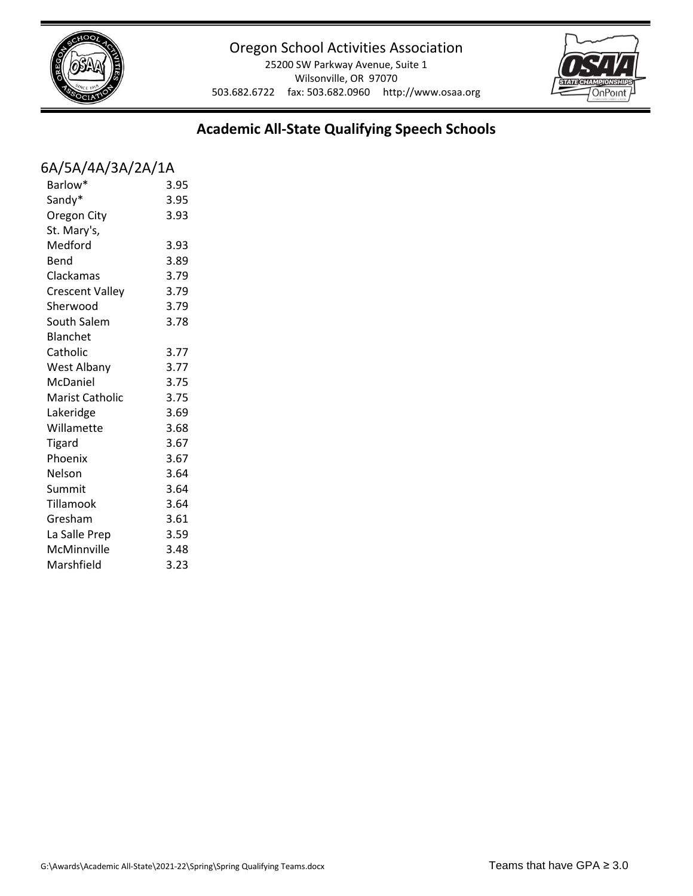

25200 SW Parkway Avenue, Suite 1 Wilsonville, OR 97070 503.682.6722 fax: 503.682.0960 http://www.osaa.org



# **Academic All-State Qualifying Speech Schools**

## 6A/5A/4A/3A/2A/1A

| Barlow*                | 3.95 |
|------------------------|------|
| Sandy*                 | 3.95 |
| Oregon City            | 3.93 |
| St. Mary's,            |      |
| Medford                | 3.93 |
| Bend                   | 3.89 |
| Clackamas              | 3.79 |
| <b>Crescent Valley</b> | 3.79 |
| Sherwood               | 3.79 |
| South Salem            | 3.78 |
| <b>Blanchet</b>        |      |
| Catholic               | 3.77 |
| West Albany            | 3.77 |
| McDaniel               | 3.75 |
| <b>Marist Catholic</b> | 3.75 |
| Lakeridge              | 3.69 |
| Willamette             | 3.68 |
| <b>Tigard</b>          | 3.67 |
| Phoenix                | 3.67 |
| Nelson                 | 3.64 |
| Summit                 | 3.64 |
| Tillamook              | 3.64 |
| Gresham                | 3.61 |
| La Salle Prep          | 3.59 |
| McMinnville            | 3.48 |
| Marshfield             | 3.23 |